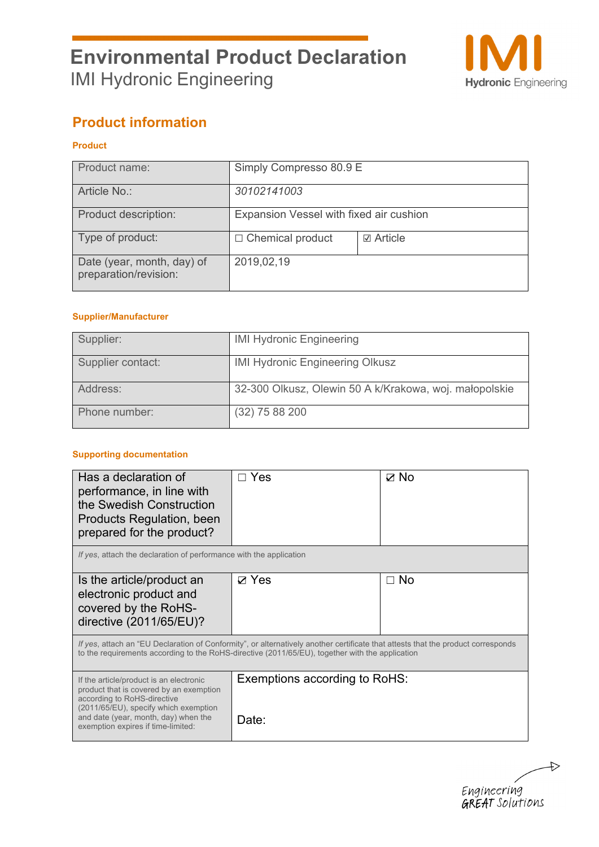

# **Product information**

### **Product**

| Product name:                                       | Simply Compresso 80.9 E                 |                  |
|-----------------------------------------------------|-----------------------------------------|------------------|
| Article No.:                                        | 30102141003                             |                  |
| Product description:                                | Expansion Vessel with fixed air cushion |                  |
| Type of product:                                    | $\Box$ Chemical product                 | <b>☑</b> Article |
| Date (year, month, day) of<br>preparation/revision: | 2019,02,19                              |                  |

#### **Supplier/Manufacturer**

| Supplier:         | <b>IMI Hydronic Engineering</b>                        |
|-------------------|--------------------------------------------------------|
| Supplier contact: | <b>IMI Hydronic Engineering Olkusz</b>                 |
| Address:          | 32-300 Olkusz, Olewin 50 A k/Krakowa, woj. małopolskie |
| Phone number:     | $(32)$ 75 88 200                                       |

#### **Supporting documentation**

| Has a declaration of<br>performance, in line with<br>the Swedish Construction<br>Products Regulation, been<br>prepared for the product?                                                                                                  | Yes                                    | ☑ No |
|------------------------------------------------------------------------------------------------------------------------------------------------------------------------------------------------------------------------------------------|----------------------------------------|------|
| If yes, attach the declaration of performance with the application                                                                                                                                                                       |                                        |      |
| Is the article/product an<br>electronic product and<br>covered by the RoHS-<br>directive (2011/65/EU)?                                                                                                                                   | ⊠ Yes                                  | ⊟ No |
| If yes, attach an "EU Declaration of Conformity", or alternatively another certificate that attests that the product corresponds<br>to the requirements according to the RoHS-directive (2011/65/EU), together with the application      |                                        |      |
| If the article/product is an electronic<br>product that is covered by an exemption<br>according to RoHS-directive<br>(2011/65/EU), specify which exemption<br>and date (year, month, day) when the<br>exemption expires if time-limited: | Exemptions according to RoHS:<br>Date: |      |

 $\rightarrow$ Engineering<br>**GREAT** Solutions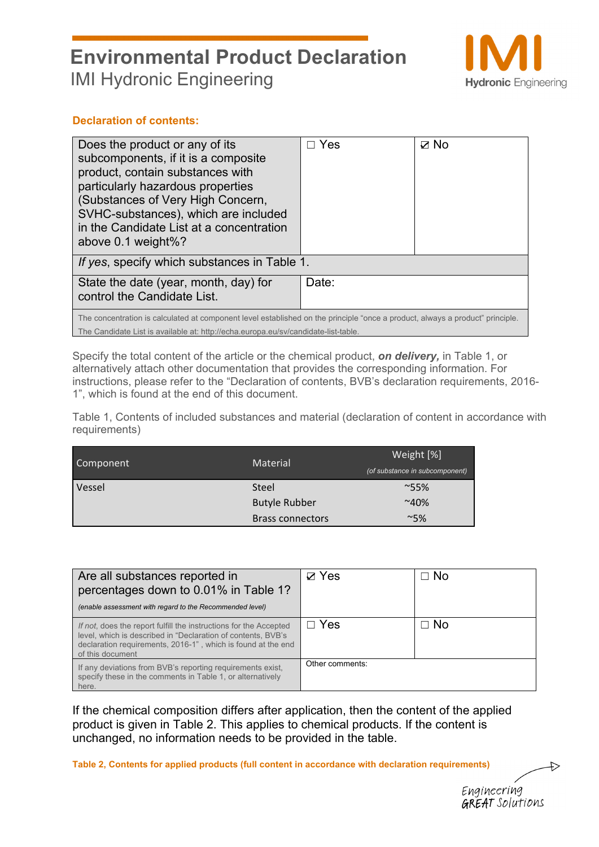

### **Declaration of contents:**

| Does the product or any of its<br>subcomponents, if it is a composite<br>product, contain substances with<br>particularly hazardous properties<br>(Substances of Very High Concern,<br>SVHC-substances), which are included<br>in the Candidate List at a concentration<br>above $0.1$ weight%? | Yes   | ⊽ No |
|-------------------------------------------------------------------------------------------------------------------------------------------------------------------------------------------------------------------------------------------------------------------------------------------------|-------|------|
| If yes, specify which substances in Table 1.                                                                                                                                                                                                                                                    |       |      |
| State the date (year, month, day) for<br>control the Candidate List.                                                                                                                                                                                                                            | Date: |      |
| The concentration is calculated at component level established on the principle "once a product, always a product" principle.<br>The Candidate List is available at: http://echa.europa.eu/sv/candidate-list-table.                                                                             |       |      |

Specify the total content of the article or the chemical product, *on delivery,* in Table 1, or alternatively attach other documentation that provides the corresponding information. For instructions, please refer to the "Declaration of contents, BVB's declaration requirements, 2016- 1", which is found at the end of this document.

Table 1, Contents of included substances and material (declaration of content in accordance with requirements)

| Component | <b>Material</b>         | Weight [%]                     |
|-----------|-------------------------|--------------------------------|
|           |                         | (of substance in subcomponent) |
| Vessel    | Steel                   | $~^{\sim}55\%$                 |
|           | <b>Butyle Rubber</b>    | $~10\%$                        |
|           | <b>Brass connectors</b> | $~15\%$                        |

| Are all substances reported in<br>percentages down to 0.01% in Table 1?<br>(enable assessment with regard to the Recommended level)                                                                                   | $\nabla$ Yes    | ⊟ No      |
|-----------------------------------------------------------------------------------------------------------------------------------------------------------------------------------------------------------------------|-----------------|-----------|
| If not, does the report fulfill the instructions for the Accepted<br>level, which is described in "Declaration of contents, BVB's<br>declaration requirements, 2016-1", which is found at the end<br>of this document | $\Box$ Yes      | $\Box$ No |
| If any deviations from BVB's reporting requirements exist,<br>specify these in the comments in Table 1, or alternatively<br>here.                                                                                     | Other comments: |           |

If the chemical composition differs after application, then the content of the applied product is given in Table 2. This applies to chemical products. If the content is unchanged, no information needs to be provided in the table.

**Table 2, Contents for applied products (full content in accordance with declaration requirements)** 

Engineering **GREAT** Solutions  $\leftrightarrow$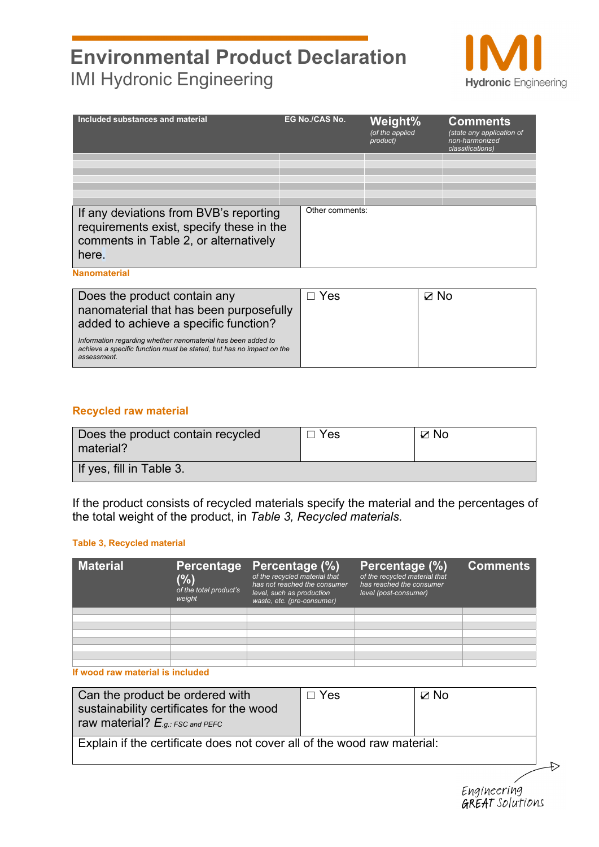

| Included substances and material                                                                                                     | <b>EG No./CAS No.</b> | Weight%<br>$\sqrt{of}$ the applied<br>product) | <b>Comments</b><br>(state any application of<br>non-harmonized<br>classifications) |
|--------------------------------------------------------------------------------------------------------------------------------------|-----------------------|------------------------------------------------|------------------------------------------------------------------------------------|
|                                                                                                                                      |                       |                                                |                                                                                    |
|                                                                                                                                      |                       |                                                |                                                                                    |
|                                                                                                                                      |                       |                                                |                                                                                    |
|                                                                                                                                      |                       |                                                |                                                                                    |
|                                                                                                                                      |                       |                                                |                                                                                    |
|                                                                                                                                      |                       |                                                |                                                                                    |
| If any deviations from BVB's reporting<br>requirements exist, specify these in the<br>comments in Table 2, or alternatively<br>here. | Other comments:       |                                                |                                                                                    |
| <b>Nanomaterial</b>                                                                                                                  |                       |                                                |                                                                                    |

Does the product contain any nanomaterial that has been purposefully added to achieve a specific function? *Information regarding whether nanomaterial has been added to achieve a specific function must be stated, but has no impact on the assessment.* ☐ Yes ☑ No

### **Recycled raw material**

| Does the product contain recycled<br>material? | $\Box$ Yes | $\boxtimes$ No |
|------------------------------------------------|------------|----------------|
| If yes, fill in Table 3.                       |            |                |

If the product consists of recycled materials specify the material and the percentages of the total weight of the product, in *Table 3, Recycled materials.*

#### **Table 3, Recycled material**

| <b>Material</b> | <b>Percentage</b><br>$(\% )$<br>of the total product's<br>weight | Percentage (%)<br>of the recycled material that<br>has not reached the consumer<br>level, such as production<br>waste, etc. (pre-consumer) | Percentage (%)<br>of the recycled material that<br>has reached the consumer<br>level (post-consumer) | <b>Comments</b> |
|-----------------|------------------------------------------------------------------|--------------------------------------------------------------------------------------------------------------------------------------------|------------------------------------------------------------------------------------------------------|-----------------|
|                 |                                                                  |                                                                                                                                            |                                                                                                      |                 |
|                 |                                                                  |                                                                                                                                            |                                                                                                      |                 |
|                 |                                                                  |                                                                                                                                            |                                                                                                      |                 |
|                 |                                                                  |                                                                                                                                            |                                                                                                      |                 |
|                 |                                                                  |                                                                                                                                            |                                                                                                      |                 |
|                 |                                                                  |                                                                                                                                            |                                                                                                      |                 |
|                 |                                                                  |                                                                                                                                            |                                                                                                      |                 |
|                 |                                                                  |                                                                                                                                            |                                                                                                      |                 |

#### **If wood raw material is included**

| Can the product be ordered with<br>sustainability certificates for the wood<br>raw material? $E_{.g.:FSC}$ and PEFC | $\Box$ Yes | ⊠ No |
|---------------------------------------------------------------------------------------------------------------------|------------|------|
| Explain if the certificate does not cover all of the wood raw material:                                             |            |      |

Engineering **GREAT** Solutions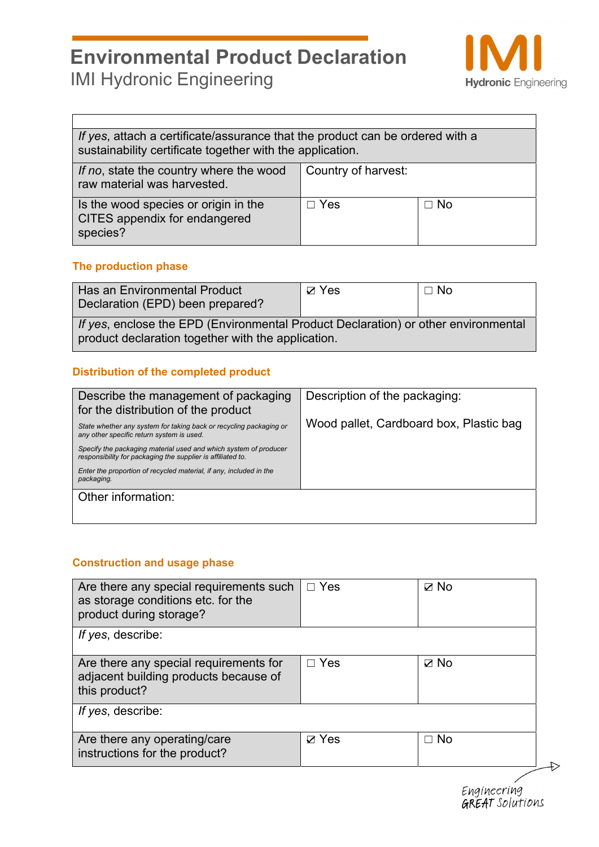

٦

| If yes, attach a certificate/assurance that the product can be ordered with a<br>sustainability certificate together with the application. |                         |  |  |
|--------------------------------------------------------------------------------------------------------------------------------------------|-------------------------|--|--|
| If no, state the country where the wood<br>raw material was harvested.                                                                     | Country of harvest:     |  |  |
| Is the wood species or origin in the<br><b>CITES appendix for endangered</b><br>species?                                                   | $\Box$ Yes<br>$\Box$ No |  |  |

### **The production phase**

 $\Gamma$ 

| Has an Environmental Product<br>Declaration (EPD) been prepared?                                                                         | $\boxtimes$ Yes | $\Box$ No |  |
|------------------------------------------------------------------------------------------------------------------------------------------|-----------------|-----------|--|
| If yes, enclose the EPD (Environmental Product Declaration) or other environmental<br>product declaration together with the application. |                 |           |  |

## **Distribution of the completed product**

| Describe the management of packaging<br>for the distribution of the product                                                     | Description of the packaging:           |
|---------------------------------------------------------------------------------------------------------------------------------|-----------------------------------------|
| State whether any system for taking back or recycling packaging or<br>any other specific return system is used.                 | Wood pallet, Cardboard box, Plastic bag |
| Specify the packaging material used and which system of producer<br>responsibility for packaging the supplier is affiliated to. |                                         |
| Enter the proportion of recycled material, if any, included in the<br>packaging.                                                |                                         |
| Other information:                                                                                                              |                                         |

### **Construction and usage phase**

| Are there any special requirements such<br>as storage conditions etc. for the<br>product during storage? | $\Box$ Yes   | $\boxtimes$ No |
|----------------------------------------------------------------------------------------------------------|--------------|----------------|
| If yes, describe:                                                                                        |              |                |
| Are there any special requirements for<br>adjacent building products because of<br>this product?         | $\Box$ Yes   | $\boxtimes$ No |
| If yes, describe:                                                                                        |              |                |
| Are there any operating/care<br>instructions for the product?                                            | $\nabla$ Yes | $\Box$ No      |
|                                                                                                          |              |                |

Engineering<br>**GREAT** Solutions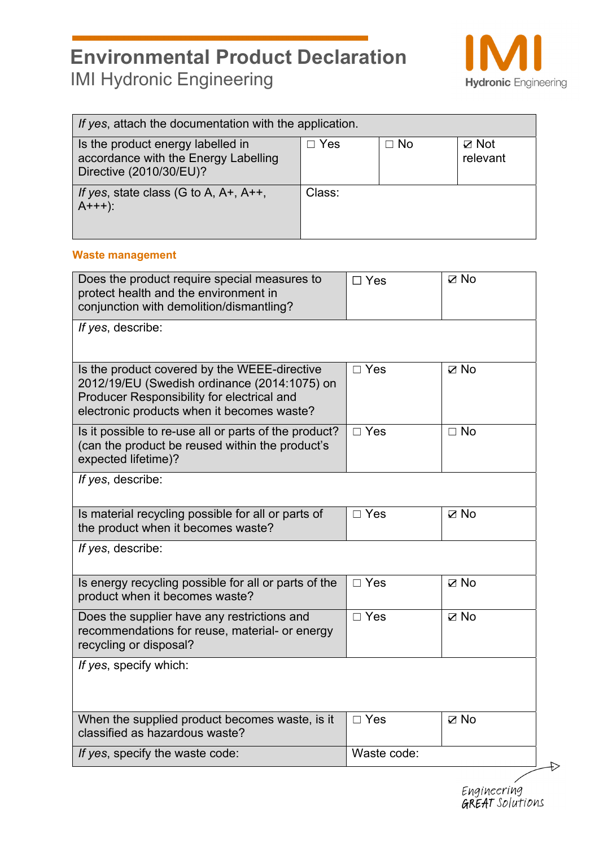

| If yes, attach the documentation with the application.                                               |            |           |                             |
|------------------------------------------------------------------------------------------------------|------------|-----------|-----------------------------|
| Is the product energy labelled in<br>accordance with the Energy Labelling<br>Directive (2010/30/EU)? | $\Box$ Yes | $\Box$ No | $\boxtimes$ Not<br>relevant |
| If yes, state class (G to A, A+, A++,<br>$A+++$ ):                                                   | Class:     |           |                             |

#### **Waste management**

| Does the product require special measures to<br>protect health and the environment in<br>conjunction with demolition/dismantling?                                                        | $\Box$ Yes    | $\boxtimes$ No |
|------------------------------------------------------------------------------------------------------------------------------------------------------------------------------------------|---------------|----------------|
| If yes, describe:                                                                                                                                                                        |               |                |
| Is the product covered by the WEEE-directive<br>2012/19/EU (Swedish ordinance (2014:1075) on<br>Producer Responsibility for electrical and<br>electronic products when it becomes waste? | $\Box$ Yes    | $\nabla$ No    |
| Is it possible to re-use all or parts of the product?<br>(can the product be reused within the product's<br>expected lifetime)?                                                          | $\Box$ Yes    | $\Box$ No      |
| If yes, describe:                                                                                                                                                                        |               |                |
| Is material recycling possible for all or parts of<br>the product when it becomes waste?                                                                                                 | $\Box$ Yes    | $\nabla$ No    |
| If yes, describe:                                                                                                                                                                        |               |                |
| Is energy recycling possible for all or parts of the<br>product when it becomes waste?                                                                                                   | $\square$ Yes | $\boxtimes$ No |
| Does the supplier have any restrictions and<br>recommendations for reuse, material- or energy<br>recycling or disposal?                                                                  | $\square$ Yes | $\boxtimes$ No |
| If yes, specify which:                                                                                                                                                                   |               |                |
| When the supplied product becomes waste, is it<br>classified as hazardous waste?                                                                                                         | $\square$ Yes | $\boxtimes$ No |
| If yes, specify the waste code:                                                                                                                                                          | Waste code:   |                |

 $\Rightarrow$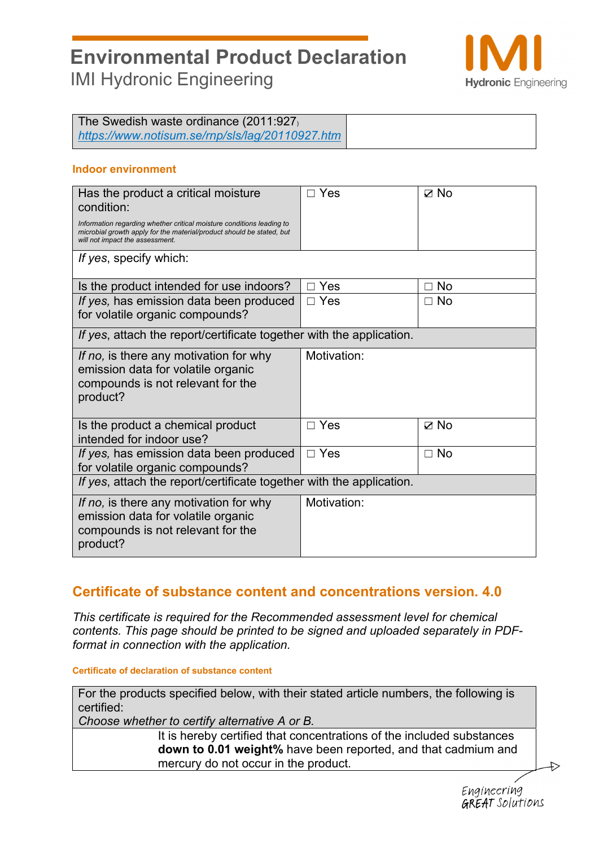

The Swedish waste ordinance (2011:927) *https://www.notisum.se/rnp/sls/lag/20110927.htm*

### **Indoor environment**

| Has the product a critical moisture<br>condition:<br>Information regarding whether critical moisture conditions leading to<br>microbial growth apply for the material/product should be stated, but<br>will not impact the assessment. | Yes         | $\nabla$ No |
|----------------------------------------------------------------------------------------------------------------------------------------------------------------------------------------------------------------------------------------|-------------|-------------|
| If yes, specify which:                                                                                                                                                                                                                 |             |             |
| Is the product intended for use indoors?                                                                                                                                                                                               | $\Box$ Yes  | No<br>П.    |
| If yes, has emission data been produced<br>for volatile organic compounds?                                                                                                                                                             | $\Box$ Yes  | $\Box$ No   |
| If yes, attach the report/certificate together with the application.                                                                                                                                                                   |             |             |
| If no, is there any motivation for why<br>emission data for volatile organic<br>compounds is not relevant for the<br>product?                                                                                                          | Motivation: |             |
| Is the product a chemical product<br>intended for indoor use?                                                                                                                                                                          | $\Box$ Yes  | $\nabla$ No |
| If yes, has emission data been produced<br>for volatile organic compounds?                                                                                                                                                             | $\Box$ Yes  | $\Box$ No   |
| If yes, attach the report/certificate together with the application.                                                                                                                                                                   |             |             |
| If no, is there any motivation for why<br>emission data for volatile organic<br>compounds is not relevant for the<br>product?                                                                                                          | Motivation: |             |

# **Certificate of substance content and concentrations version. 4.0**

*This certificate is required for the Recommended assessment level for chemical contents. This page should be printed to be signed and uploaded separately in PDFformat in connection with the application.* 

#### **Certificate of declaration of substance content**

For the products specified below, with their stated article numbers, the following is certified:

*Choose whether to certify alternative A or B.* 

It is hereby certified that concentrations of the included substances **down to 0.01 weight%** have been reported, and that cadmium and mercury do not occur in the product.

Engineering **GREAT** Solutions

 $\leftrightarrow$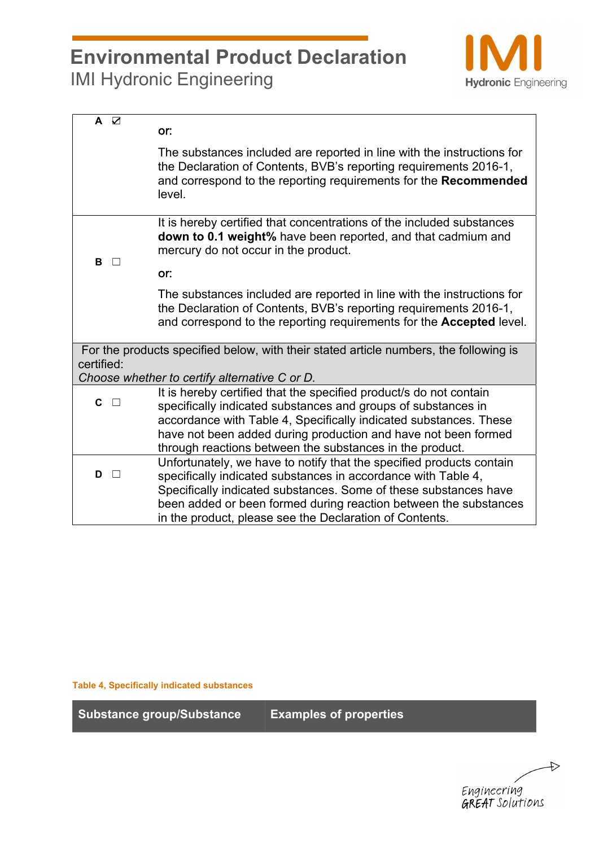

| $\overline{A}$ $\overline{C}$ | or:                                                                                                                                                                                                                                                                                                                                      |
|-------------------------------|------------------------------------------------------------------------------------------------------------------------------------------------------------------------------------------------------------------------------------------------------------------------------------------------------------------------------------------|
|                               | The substances included are reported in line with the instructions for<br>the Declaration of Contents, BVB's reporting requirements 2016-1,<br>and correspond to the reporting requirements for the Recommended<br>level.                                                                                                                |
| в<br>$\Box$                   | It is hereby certified that concentrations of the included substances<br>down to 0.1 weight% have been reported, and that cadmium and<br>mercury do not occur in the product.                                                                                                                                                            |
|                               | or:                                                                                                                                                                                                                                                                                                                                      |
|                               | The substances included are reported in line with the instructions for<br>the Declaration of Contents, BVB's reporting requirements 2016-1,<br>and correspond to the reporting requirements for the Accepted level.                                                                                                                      |
| certified:                    | For the products specified below, with their stated article numbers, the following is<br>Choose whether to certify alternative C or D.                                                                                                                                                                                                   |
| C.                            | It is hereby certified that the specified product/s do not contain<br>specifically indicated substances and groups of substances in<br>accordance with Table 4, Specifically indicated substances. These<br>have not been added during production and have not been formed<br>through reactions between the substances in the product.   |
| $D$ $\Box$                    | Unfortunately, we have to notify that the specified products contain<br>specifically indicated substances in accordance with Table 4,<br>Specifically indicated substances. Some of these substances have<br>been added or been formed during reaction between the substances<br>in the product, please see the Declaration of Contents. |

**Table 4, Specifically indicated substances** 

**Substance group/Substance Examples of properties** 

 $\Rightarrow$ Engineering<br>GREAT Solutions